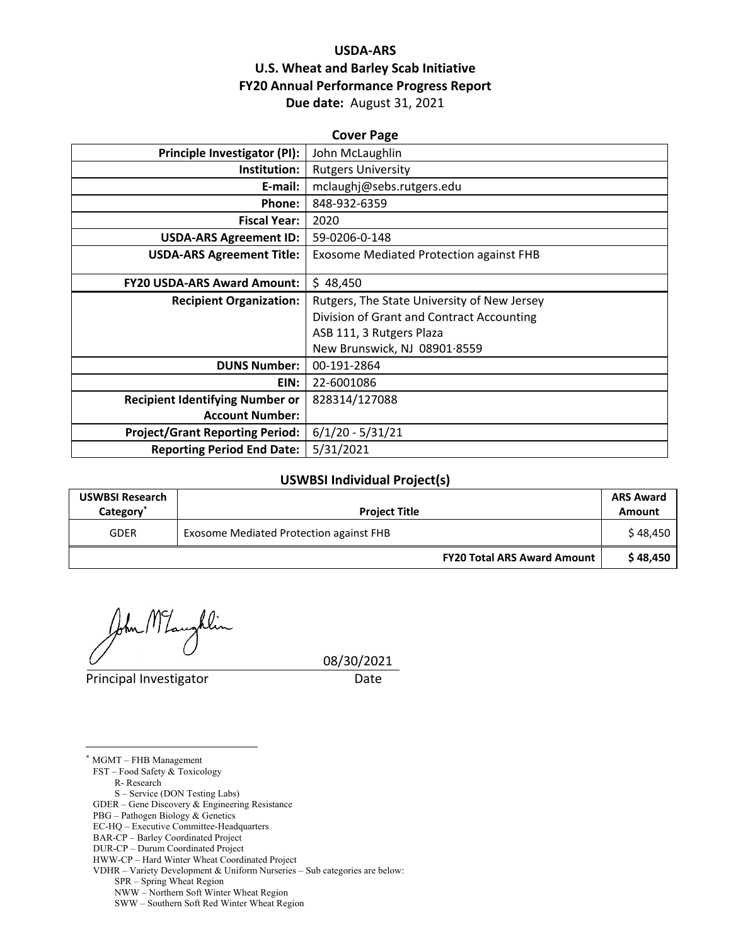## **USDA‐ARS U.S. Wheat and Barley Scab Initiative FY20 Annual Performance Progress Report Due date:** August 31, 2021

| <b>Cover Page</b>                      |                                                |  |  |
|----------------------------------------|------------------------------------------------|--|--|
| <b>Principle Investigator (PI):</b>    | John McLaughlin                                |  |  |
| Institution:                           | <b>Rutgers University</b>                      |  |  |
| E-mail:                                | mclaughj@sebs.rutgers.edu                      |  |  |
| <b>Phone:</b>                          | 848-932-6359                                   |  |  |
| <b>Fiscal Year:</b>                    | 2020                                           |  |  |
| <b>USDA-ARS Agreement ID:</b>          | 59-0206-0-148                                  |  |  |
| <b>USDA-ARS Agreement Title:</b>       | <b>Exosome Mediated Protection against FHB</b> |  |  |
|                                        |                                                |  |  |
| <b>FY20 USDA-ARS Award Amount:</b>     | \$48,450                                       |  |  |
| <b>Recipient Organization:</b>         | Rutgers, The State University of New Jersey    |  |  |
|                                        | Division of Grant and Contract Accounting      |  |  |
|                                        | ASB 111, 3 Rutgers Plaza                       |  |  |
|                                        | New Brunswick, NJ 08901.8559                   |  |  |
| <b>DUNS Number:</b>                    | 00-191-2864                                    |  |  |
| EIN:                                   | 22-6001086                                     |  |  |
| <b>Recipient Identifying Number or</b> | 828314/127088                                  |  |  |
| <b>Account Number:</b>                 |                                                |  |  |
| <b>Project/Grant Reporting Period:</b> | $6/1/20 - 5/31/21$                             |  |  |
| <b>Reporting Period End Date:</b>      | 5/31/2021                                      |  |  |

#### **USWBSI Individual Project(s)**

| <b>USWBSI Research</b><br>Category <sup>®</sup> | <b>Project Title</b>                    |          |
|-------------------------------------------------|-----------------------------------------|----------|
| <b>GDER</b>                                     | Exosome Mediated Protection against FHB | \$48.450 |
|                                                 | <b>FY20 Total ARS Award Amount</b>      | \$48,450 |

lin

Principal Investigator Date

08/30/2021

\* MGMT – FHB Management

<u>.</u>

FST – Food Safety & Toxicology R- Research

S – Service (DON Testing Labs)

GDER – Gene Discovery & Engineering Resistance

PBG – Pathogen Biology & Genetics

EC-HQ – Executive Committee-Headquarters

BAR-CP – Barley Coordinated Project

DUR-CP – Durum Coordinated Project

HWW-CP – Hard Winter Wheat Coordinated Project

VDHR – Variety Development & Uniform Nurseries – Sub categories are below:

SPR – Spring Wheat Region

NWW – Northern Soft Winter Wheat Region

SWW – Southern Soft Red Winter Wheat Region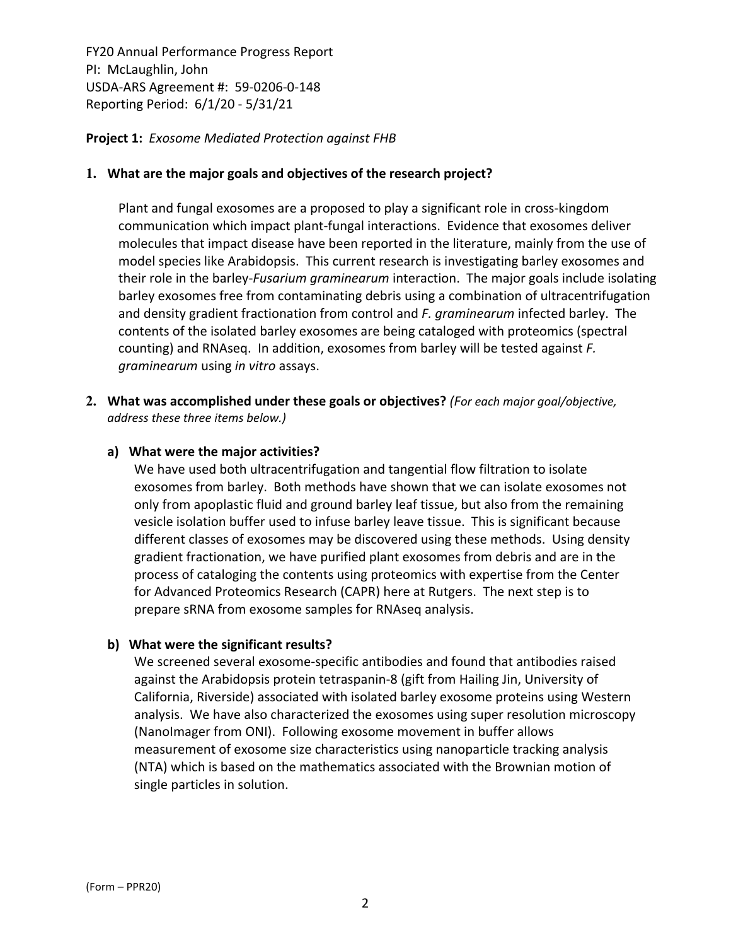**Project 1:** *Exosome Mediated Protection against FHB*

#### **1. What are the major goals and objectives of the research project?**

Plant and fungal exosomes are a proposed to play a significant role in cross‐kingdom communication which impact plant‐fungal interactions. Evidence that exosomes deliver molecules that impact disease have been reported in the literature, mainly from the use of model species like Arabidopsis. This current research is investigating barley exosomes and their role in the barley‐*Fusarium graminearum* interaction. The major goals include isolating barley exosomes free from contaminating debris using a combination of ultracentrifugation and density gradient fractionation from control and *F. graminearum* infected barley. The contents of the isolated barley exosomes are being cataloged with proteomics (spectral counting) and RNAseq. In addition, exosomes from barley will be tested against *F. graminearum* using *in vitro* assays.

**2. What was accomplished under these goals or objectives?** *(For each major goal/objective, address these three items below.)*

#### **a) What were the major activities?**

We have used both ultracentrifugation and tangential flow filtration to isolate exosomes from barley. Both methods have shown that we can isolate exosomes not only from apoplastic fluid and ground barley leaf tissue, but also from the remaining vesicle isolation buffer used to infuse barley leave tissue. This is significant because different classes of exosomes may be discovered using these methods. Using density gradient fractionation, we have purified plant exosomes from debris and are in the process of cataloging the contents using proteomics with expertise from the Center for Advanced Proteomics Research (CAPR) here at Rutgers. The next step is to prepare sRNA from exosome samples for RNAseq analysis.

## **b) What were the significant results?**

We screened several exosome‐specific antibodies and found that antibodies raised against the Arabidopsis protein tetraspanin‐8 (gift from Hailing Jin, University of California, Riverside) associated with isolated barley exosome proteins using Western analysis. We have also characterized the exosomes using super resolution microscopy (NanoImager from ONI). Following exosome movement in buffer allows measurement of exosome size characteristics using nanoparticle tracking analysis (NTA) which is based on the mathematics associated with the Brownian motion of single particles in solution.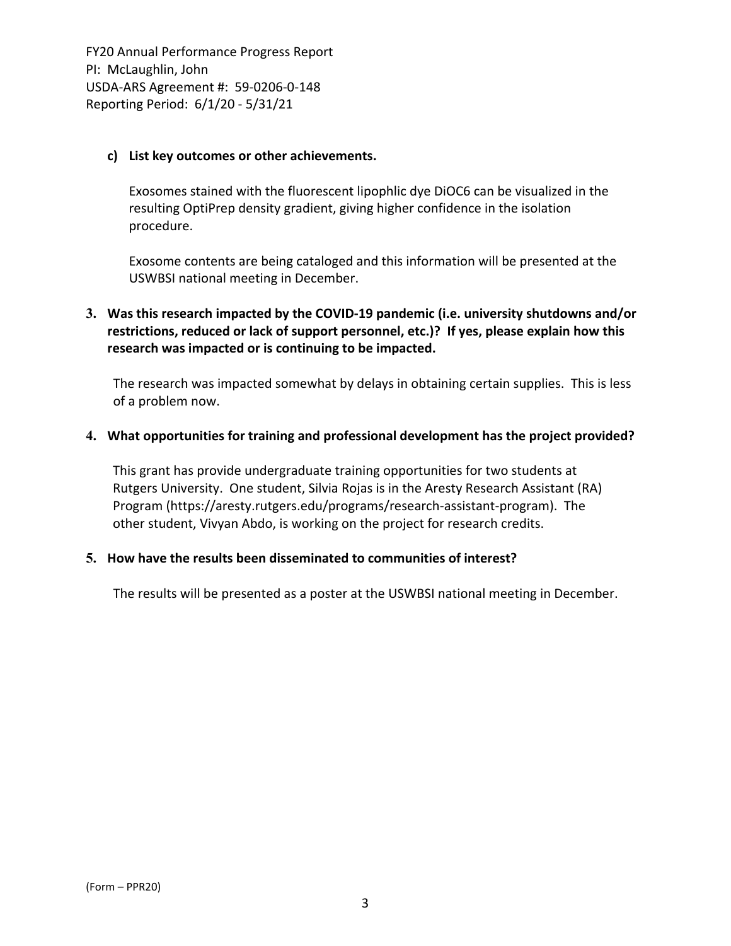#### **c) List key outcomes or other achievements.**

Exosomes stained with the fluorescent lipophlic dye DiOC6 can be visualized in the resulting OptiPrep density gradient, giving higher confidence in the isolation procedure.

Exosome contents are being cataloged and this information will be presented at the USWBSI national meeting in December.

## **3. Was this research impacted by the COVID‐19 pandemic (i.e. university shutdowns and/or restrictions, reduced or lack of support personnel, etc.)? If yes, please explain how this research was impacted or is continuing to be impacted.**

The research was impacted somewhat by delays in obtaining certain supplies. This is less of a problem now.

#### **4. What opportunities for training and professional development has the project provided?**

This grant has provide undergraduate training opportunities for two students at Rutgers University. One student, Silvia Rojas is in the Aresty Research Assistant (RA) Program (https://aresty.rutgers.edu/programs/research‐assistant‐program). The other student, Vivyan Abdo, is working on the project for research credits.

#### **5. How have the results been disseminated to communities of interest?**

The results will be presented as a poster at the USWBSI national meeting in December.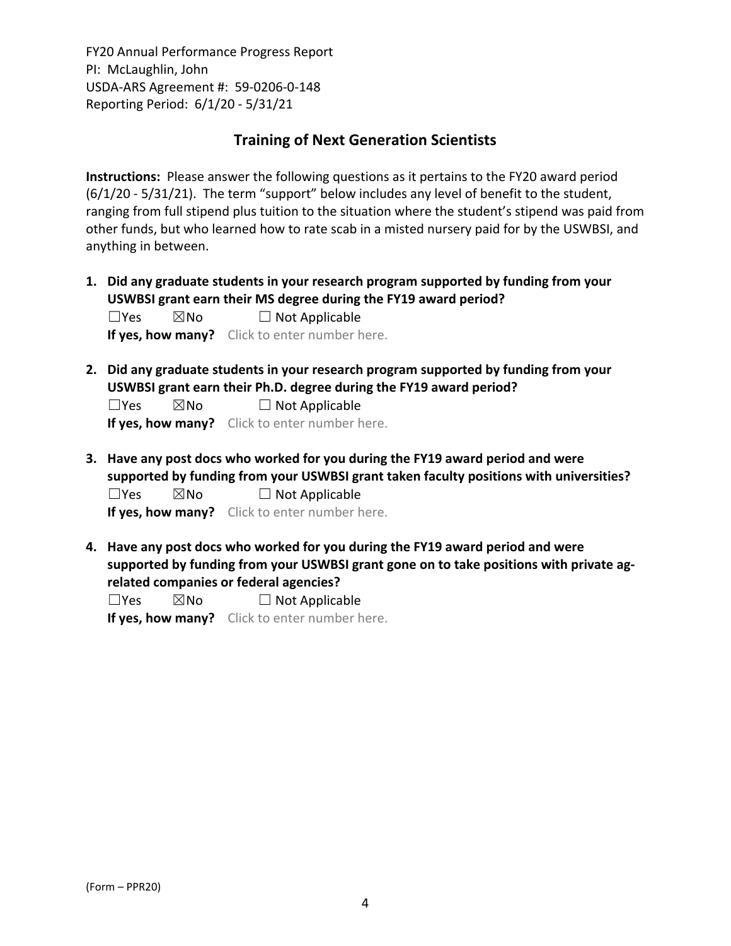## **Training of Next Generation Scientists**

**Instructions:** Please answer the following questions as it pertains to the FY20 award period (6/1/20 ‐ 5/31/21). The term "support" below includes any level of benefit to the student, ranging from full stipend plus tuition to the situation where the student's stipend was paid from other funds, but who learned how to rate scab in a misted nursery paid for by the USWBSI, and anything in between.

**1. Did any graduate students in your research program supported by funding from your USWBSI grant earn their MS degree during the FY19 award period?**  $\Box$ Yes  $\boxtimes$ No  $\Box$  Not Applicable

**If yes, how many?** Click to enter number here.

**2. Did any graduate students in your research program supported by funding from your USWBSI grant earn their Ph.D. degree during the FY19 award period?**

 $\Box$ Yes  $\boxtimes$ No  $\Box$  Not Applicable

**If yes, how many?** Click to enter number here.

**3. Have any post docs who worked for you during the FY19 award period and were supported by funding from your USWBSI grant taken faculty positions with universities?**  $\Box$ Yes  $\boxtimes$ No  $\Box$  Not Applicable

**If yes, how many?** Click to enter number here.

**4. Have any post docs who worked for you during the FY19 award period and were supported by funding from your USWBSI grant gone on to take positions with private ag‐ related companies or federal agencies?**

 $\square$ Yes  $\square$ No  $\square$  Not Applicable

**If yes, how many?** Click to enter number here.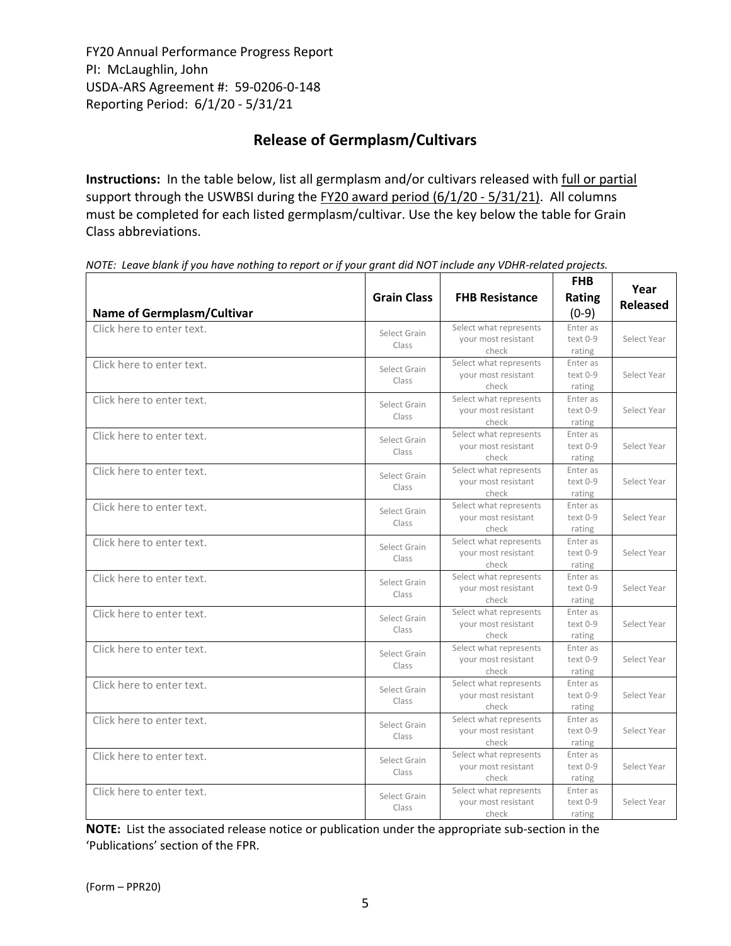# **Release of Germplasm/Cultivars**

**Instructions:** In the table below, list all germplasm and/or cultivars released with full or partial support through the USWBSI during the FY20 award period (6/1/20 - 5/31/21). All columns must be completed for each listed germplasm/cultivar. Use the key below the table for Grain Class abbreviations. 

| <b>Name of Germplasm/Cultivar</b> | <b>Grain Class</b>    | <b>FHB Resistance</b>                                  | <b>FHB</b><br>Rating<br>$(0-9)$  | Year<br><b>Released</b> |
|-----------------------------------|-----------------------|--------------------------------------------------------|----------------------------------|-------------------------|
| Click here to enter text.         | Select Grain<br>Class | Select what represents<br>your most resistant<br>check | Enter as<br>$text 0-9$<br>rating | Select Year             |
| Click here to enter text.         | Select Grain<br>Class | Select what represents<br>your most resistant<br>check | Enter as<br>text 0-9<br>rating   | Select Year             |
| Click here to enter text.         | Select Grain<br>Class | Select what represents<br>your most resistant<br>check | Enter as<br>text 0-9<br>rating   | Select Year             |
| Click here to enter text.         | Select Grain<br>Class | Select what represents<br>your most resistant<br>check | Enter as<br>text 0-9<br>rating   | Select Year             |
| Click here to enter text.         | Select Grain<br>Class | Select what represents<br>your most resistant<br>check | Enter as<br>text 0-9<br>rating   | Select Year             |
| Click here to enter text.         | Select Grain<br>Class | Select what represents<br>your most resistant<br>check | Enter as<br>text 0-9<br>rating   | Select Year             |
| Click here to enter text.         | Select Grain<br>Class | Select what represents<br>your most resistant<br>check | Enter as<br>text 0-9<br>rating   | Select Year             |
| Click here to enter text.         | Select Grain<br>Class | Select what represents<br>your most resistant<br>check | Enter as<br>text 0-9<br>rating   | Select Year             |
| Click here to enter text.         | Select Grain<br>Class | Select what represents<br>your most resistant<br>check | Enter as<br>text 0-9<br>rating   | Select Year             |
| Click here to enter text.         | Select Grain<br>Class | Select what represents<br>your most resistant<br>check | Enter as<br>text 0-9<br>rating   | Select Year             |
| Click here to enter text.         | Select Grain<br>Class | Select what represents<br>your most resistant<br>check | Enter as<br>text 0-9<br>rating   | Select Year             |
| Click here to enter text.         | Select Grain<br>Class | Select what represents<br>vour most resistant<br>check | Enter as<br>text 0-9<br>rating   | Select Year             |
| Click here to enter text.         | Select Grain<br>Class | Select what represents<br>your most resistant<br>check | Enter as<br>text 0-9<br>rating   | Select Year             |
| Click here to enter text.         | Select Grain<br>Class | Select what represents<br>your most resistant<br>check | Enter as<br>text 0-9<br>rating   | Select Year             |

NOTE: Leave blank if you have nothing to report or if your grant did NOT include any VDHR-related projects.

**NOTE:** List the associated release notice or publication under the appropriate sub-section in the 'Publications' section of the FPR.